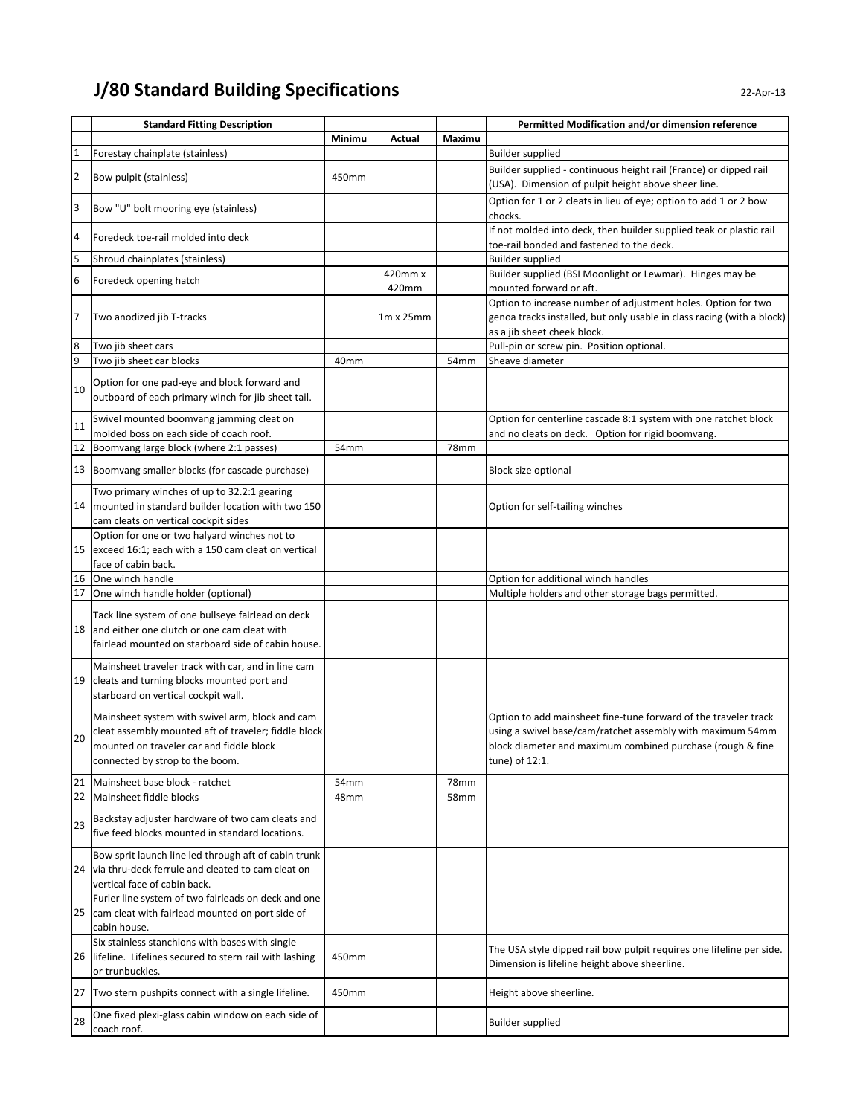## **J/80 Standard Building Specifications** 22-Apr-13

|                         | <b>Standard Fitting Description</b>                                                                                                                                                    |                  |                  |                  | Permitted Modification and/or dimension reference                                                                                                                                                             |
|-------------------------|----------------------------------------------------------------------------------------------------------------------------------------------------------------------------------------|------------------|------------------|------------------|---------------------------------------------------------------------------------------------------------------------------------------------------------------------------------------------------------------|
|                         |                                                                                                                                                                                        | Minimu           | Actual           | Maximu           |                                                                                                                                                                                                               |
| 1                       | Forestay chainplate (stainless)                                                                                                                                                        |                  |                  |                  | <b>Builder supplied</b>                                                                                                                                                                                       |
|                         |                                                                                                                                                                                        |                  |                  |                  | Builder supplied - continuous height rail (France) or dipped rail                                                                                                                                             |
| $\overline{\mathbf{c}}$ | Bow pulpit (stainless)                                                                                                                                                                 | 450mm            |                  |                  | (USA). Dimension of pulpit height above sheer line.                                                                                                                                                           |
| 3                       | Bow "U" bolt mooring eye (stainless)                                                                                                                                                   |                  |                  |                  | Option for 1 or 2 cleats in lieu of eye; option to add 1 or 2 bow<br>chocks.                                                                                                                                  |
| 4                       | Foredeck toe-rail molded into deck                                                                                                                                                     |                  |                  |                  | If not molded into deck, then builder supplied teak or plastic rail<br>toe-rail bonded and fastened to the deck.                                                                                              |
| 5                       | Shroud chainplates (stainless)                                                                                                                                                         |                  |                  |                  | <b>Builder supplied</b>                                                                                                                                                                                       |
| 6                       | Foredeck opening hatch                                                                                                                                                                 |                  | 420mm x<br>420mm |                  | Builder supplied (BSI Moonlight or Lewmar). Hinges may be<br>mounted forward or aft.                                                                                                                          |
| 7                       | Two anodized jib T-tracks                                                                                                                                                              |                  | $1m \times 25mm$ |                  | Option to increase number of adjustment holes. Option for two<br>genoa tracks installed, but only usable in class racing (with a block)<br>as a jib sheet cheek block.                                        |
| 8                       | Two jib sheet cars                                                                                                                                                                     |                  |                  |                  | Pull-pin or screw pin. Position optional.                                                                                                                                                                     |
| 9                       | Two jib sheet car blocks                                                                                                                                                               | 40 <sub>mm</sub> |                  | 54 <sub>mm</sub> | Sheave diameter                                                                                                                                                                                               |
| 10                      | Option for one pad-eye and block forward and<br>outboard of each primary winch for jib sheet tail.                                                                                     |                  |                  |                  |                                                                                                                                                                                                               |
| 11                      | Swivel mounted boomvang jamming cleat on                                                                                                                                               |                  |                  |                  | Option for centerline cascade 8:1 system with one ratchet block                                                                                                                                               |
| 12                      | molded boss on each side of coach roof.<br>Boomvang large block (where 2:1 passes)                                                                                                     |                  |                  |                  | and no cleats on deck. Option for rigid boomvang.                                                                                                                                                             |
|                         |                                                                                                                                                                                        | 54 <sub>mm</sub> |                  | 78mm             |                                                                                                                                                                                                               |
|                         | 13 Boomvang smaller blocks (for cascade purchase)                                                                                                                                      |                  |                  |                  | Block size optional                                                                                                                                                                                           |
|                         | Two primary winches of up to 32.2:1 gearing<br>14   mounted in standard builder location with two 150<br>cam cleats on vertical cockpit sides                                          |                  |                  |                  | Option for self-tailing winches                                                                                                                                                                               |
| 15                      | Option for one or two halyard winches not to<br>exceed 16:1; each with a 150 cam cleat on vertical<br>face of cabin back.                                                              |                  |                  |                  |                                                                                                                                                                                                               |
| 16                      | One winch handle                                                                                                                                                                       |                  |                  |                  | Option for additional winch handles                                                                                                                                                                           |
| 17                      | One winch handle holder (optional)                                                                                                                                                     |                  |                  |                  | Multiple holders and other storage bags permitted.                                                                                                                                                            |
|                         | Tack line system of one bullseye fairlead on deck<br>18 and either one clutch or one cam cleat with<br>fairlead mounted on starboard side of cabin house.                              |                  |                  |                  |                                                                                                                                                                                                               |
|                         | Mainsheet traveler track with car, and in line cam<br>19 cleats and turning blocks mounted port and<br>starboard on vertical cockpit wall.                                             |                  |                  |                  |                                                                                                                                                                                                               |
| 20                      | Mainsheet system with swivel arm, block and cam<br>cleat assembly mounted aft of traveler; fiddle block<br>mounted on traveler car and fiddle block<br>connected by strop to the boom. |                  |                  |                  | Option to add mainsheet fine-tune forward of the traveler track<br>using a swivel base/cam/ratchet assembly with maximum 54mm<br>block diameter and maximum combined purchase (rough & fine<br>tune) of 12:1. |
| 21                      | Mainsheet base block - ratchet                                                                                                                                                         | 54 <sub>mm</sub> |                  | 78mm             |                                                                                                                                                                                                               |
| 22                      | Mainsheet fiddle blocks                                                                                                                                                                | 48mm             |                  | 58mm             |                                                                                                                                                                                                               |
| 23                      | Backstay adjuster hardware of two cam cleats and<br>five feed blocks mounted in standard locations.                                                                                    |                  |                  |                  |                                                                                                                                                                                                               |
| 24                      | Bow sprit launch line led through aft of cabin trunk<br>via thru-deck ferrule and cleated to cam cleat on<br>vertical face of cabin back.                                              |                  |                  |                  |                                                                                                                                                                                                               |
| 25                      | Furler line system of two fairleads on deck and one<br>cam cleat with fairlead mounted on port side of<br>cabin house.                                                                 |                  |                  |                  |                                                                                                                                                                                                               |
|                         | Six stainless stanchions with bases with single<br>26 lifeline. Lifelines secured to stern rail with lashing<br>or trunbuckles.                                                        | 450mm            |                  |                  | The USA style dipped rail bow pulpit requires one lifeline per side.<br>Dimension is lifeline height above sheerline.                                                                                         |
| 27                      | Two stern pushpits connect with a single lifeline.                                                                                                                                     | 450mm            |                  |                  | Height above sheerline.                                                                                                                                                                                       |
| 28                      | One fixed plexi-glass cabin window on each side of<br>coach roof.                                                                                                                      |                  |                  |                  | <b>Builder supplied</b>                                                                                                                                                                                       |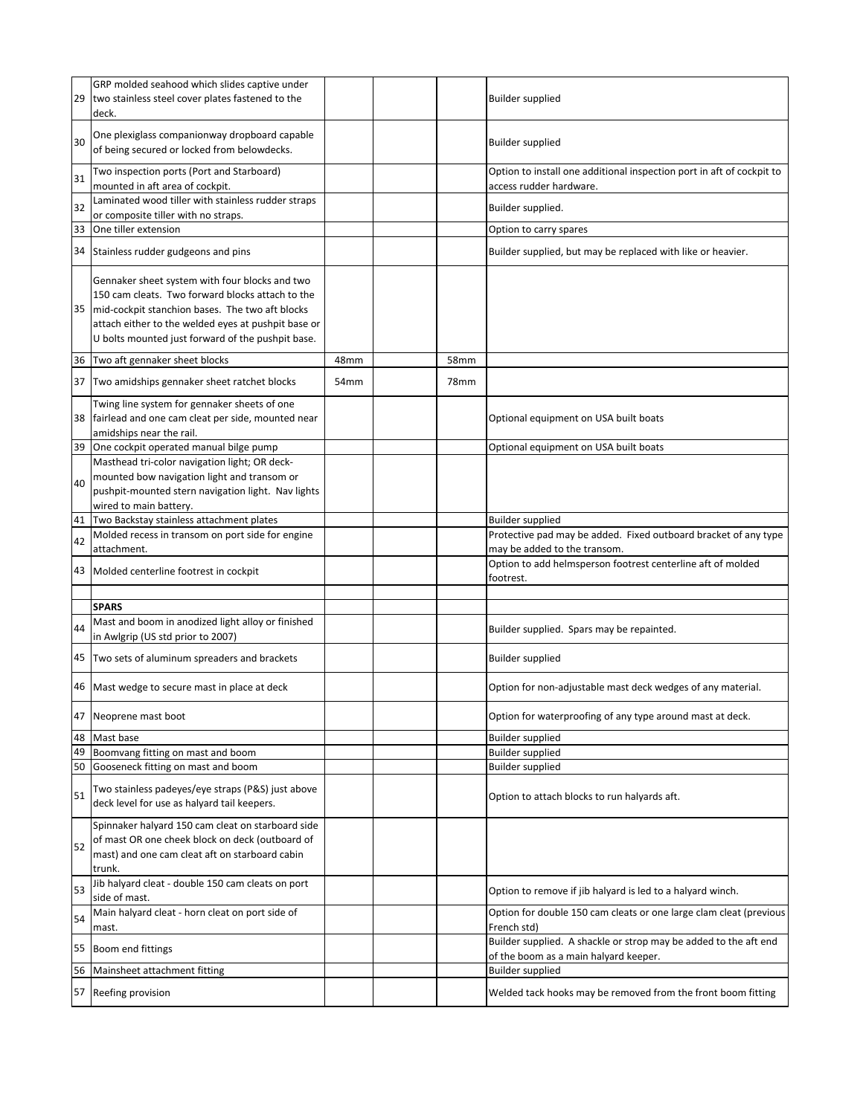| 29 | GRP molded seahood which slides captive under<br>two stainless steel cover plates fastened to the<br>deck.                                                                                                                                                             |                  |      | <b>Builder supplied</b>                                                                                   |
|----|------------------------------------------------------------------------------------------------------------------------------------------------------------------------------------------------------------------------------------------------------------------------|------------------|------|-----------------------------------------------------------------------------------------------------------|
| 30 | One plexiglass companionway dropboard capable<br>of being secured or locked from belowdecks.                                                                                                                                                                           |                  |      | <b>Builder supplied</b>                                                                                   |
| 31 | Two inspection ports (Port and Starboard)<br>mounted in aft area of cockpit.                                                                                                                                                                                           |                  |      | Option to install one additional inspection port in aft of cockpit to<br>access rudder hardware.          |
| 32 | Laminated wood tiller with stainless rudder straps<br>or composite tiller with no straps.                                                                                                                                                                              |                  |      | Builder supplied.                                                                                         |
| 33 | One tiller extension                                                                                                                                                                                                                                                   |                  |      | Option to carry spares                                                                                    |
|    | 34 Stainless rudder gudgeons and pins                                                                                                                                                                                                                                  |                  |      | Builder supplied, but may be replaced with like or heavier.                                               |
|    | Gennaker sheet system with four blocks and two<br>150 cam cleats. Two forward blocks attach to the<br>35   mid-cockpit stanchion bases. The two aft blocks<br>attach either to the welded eyes at pushpit base or<br>U bolts mounted just forward of the pushpit base. |                  |      |                                                                                                           |
|    | 36 Two aft gennaker sheet blocks                                                                                                                                                                                                                                       | 48mm             | 58mm |                                                                                                           |
|    | 37 Two amidships gennaker sheet ratchet blocks                                                                                                                                                                                                                         | 54 <sub>mm</sub> | 78mm |                                                                                                           |
|    | Twing line system for gennaker sheets of one<br>38 fairlead and one cam cleat per side, mounted near<br>amidships near the rail.                                                                                                                                       |                  |      | Optional equipment on USA built boats                                                                     |
| 39 | One cockpit operated manual bilge pump                                                                                                                                                                                                                                 |                  |      | Optional equipment on USA built boats                                                                     |
|    | Masthead tri-color navigation light; OR deck-                                                                                                                                                                                                                          |                  |      |                                                                                                           |
| 40 | mounted bow navigation light and transom or                                                                                                                                                                                                                            |                  |      |                                                                                                           |
|    | pushpit-mounted stern navigation light. Nav lights                                                                                                                                                                                                                     |                  |      |                                                                                                           |
|    | wired to main battery.                                                                                                                                                                                                                                                 |                  |      |                                                                                                           |
| 41 | Two Backstay stainless attachment plates                                                                                                                                                                                                                               |                  |      | <b>Builder supplied</b>                                                                                   |
| 42 | Molded recess in transom on port side for engine                                                                                                                                                                                                                       |                  |      | Protective pad may be added. Fixed outboard bracket of any type                                           |
|    | attachment.<br>43 Molded centerline footrest in cockpit                                                                                                                                                                                                                |                  |      | may be added to the transom.<br>Option to add helmsperson footrest centerline aft of molded<br>footrest.  |
|    |                                                                                                                                                                                                                                                                        |                  |      |                                                                                                           |
|    | <b>SPARS</b>                                                                                                                                                                                                                                                           |                  |      |                                                                                                           |
|    | Mast and boom in anodized light alloy or finished                                                                                                                                                                                                                      |                  |      |                                                                                                           |
| 44 | in Awlgrip (US std prior to 2007)                                                                                                                                                                                                                                      |                  |      | Builder supplied. Spars may be repainted.                                                                 |
|    | 45 Two sets of aluminum spreaders and brackets                                                                                                                                                                                                                         |                  |      | <b>Builder supplied</b>                                                                                   |
|    | 46 Mast wedge to secure mast in place at deck                                                                                                                                                                                                                          |                  |      | Option for non-adjustable mast deck wedges of any material.                                               |
| 47 | Neoprene mast boot                                                                                                                                                                                                                                                     |                  |      | Option for waterproofing of any type around mast at deck.                                                 |
| 48 | Mast base                                                                                                                                                                                                                                                              |                  |      | <b>Builder supplied</b>                                                                                   |
| 49 | Boomvang fitting on mast and boom                                                                                                                                                                                                                                      |                  |      | <b>Builder supplied</b>                                                                                   |
| 50 | Gooseneck fitting on mast and boom                                                                                                                                                                                                                                     |                  |      | <b>Builder supplied</b>                                                                                   |
| 51 | Two stainless padeyes/eye straps (P&S) just above<br>deck level for use as halyard tail keepers.                                                                                                                                                                       |                  |      | Option to attach blocks to run halyards aft.                                                              |
| 52 | Spinnaker halyard 150 cam cleat on starboard side<br>of mast OR one cheek block on deck (outboard of<br>mast) and one cam cleat aft on starboard cabin<br>trunk.                                                                                                       |                  |      |                                                                                                           |
| 53 | Jib halyard cleat - double 150 cam cleats on port<br>side of mast.                                                                                                                                                                                                     |                  |      | Option to remove if jib halyard is led to a halyard winch.                                                |
| 54 | Main halyard cleat - horn cleat on port side of<br>mast.                                                                                                                                                                                                               |                  |      | Option for double 150 cam cleats or one large clam cleat (previous<br>French std)                         |
| 55 | Boom end fittings                                                                                                                                                                                                                                                      |                  |      | Builder supplied. A shackle or strop may be added to the aft end<br>of the boom as a main halyard keeper. |
| 56 | Mainsheet attachment fitting                                                                                                                                                                                                                                           |                  |      | <b>Builder supplied</b>                                                                                   |
|    | 57 Reefing provision                                                                                                                                                                                                                                                   |                  |      | Welded tack hooks may be removed from the front boom fitting                                              |